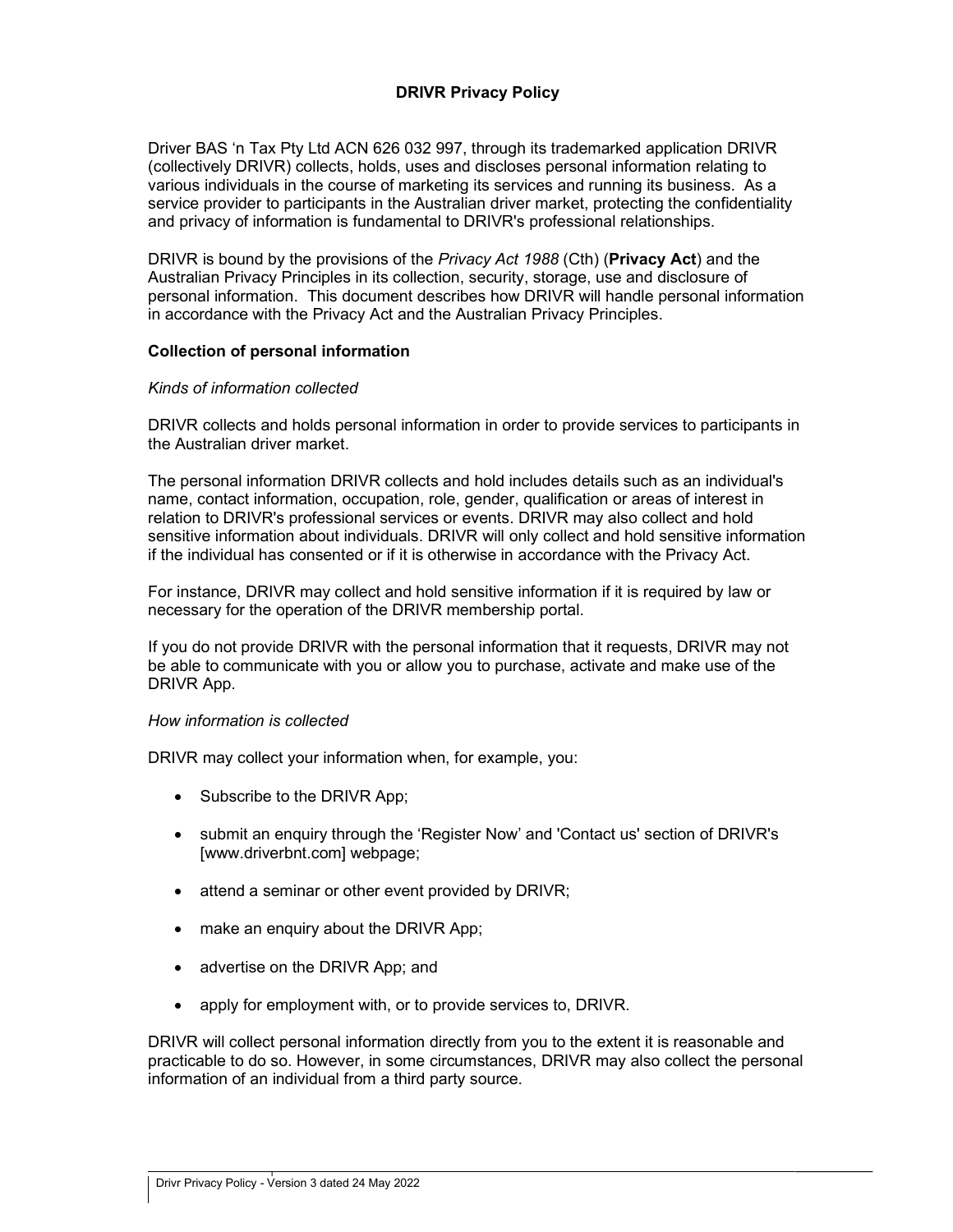## DRIVR Privacy Policy

Driver BAS 'n Tax Pty Ltd ACN 626 032 997, through its trademarked application DRIVR (collectively DRIVR) collects, holds, uses and discloses personal information relating to various individuals in the course of marketing its services and running its business. As a service provider to participants in the Australian driver market, protecting the confidentiality and privacy of information is fundamental to DRIVR's professional relationships.

DRIVR is bound by the provisions of the *Privacy Act 1988* (Cth) (**Privacy Act**) and the Australian Privacy Principles in its collection, security, storage, use and disclosure of personal information. This document describes how DRIVR will handle personal information in accordance with the Privacy Act and the Australian Privacy Principles.

#### Collection of personal information

#### Kinds of information collected

DRIVR collects and holds personal information in order to provide services to participants in the Australian driver market.

The personal information DRIVR collects and hold includes details such as an individual's name, contact information, occupation, role, gender, qualification or areas of interest in relation to DRIVR's professional services or events. DRIVR may also collect and hold sensitive information about individuals. DRIVR will only collect and hold sensitive information if the individual has consented or if it is otherwise in accordance with the Privacy Act.

For instance, DRIVR may collect and hold sensitive information if it is required by law or necessary for the operation of the DRIVR membership portal.

If you do not provide DRIVR with the personal information that it requests, DRIVR may not be able to communicate with you or allow you to purchase, activate and make use of the DRIVR App.

#### How information is collected

DRIVR may collect your information when, for example, you:

- Subscribe to the DRIVR App;
- submit an enquiry through the 'Register Now' and 'Contact us' section of DRIVR's [www.driverbnt.com] webpage;
- attend a seminar or other event provided by DRIVR;
- make an enquiry about the DRIVR App;
- advertise on the DRIVR App; and
- apply for employment with, or to provide services to, DRIVR.

DRIVR will collect personal information directly from you to the extent it is reasonable and practicable to do so. However, in some circumstances, DRIVR may also collect the personal information of an individual from a third party source.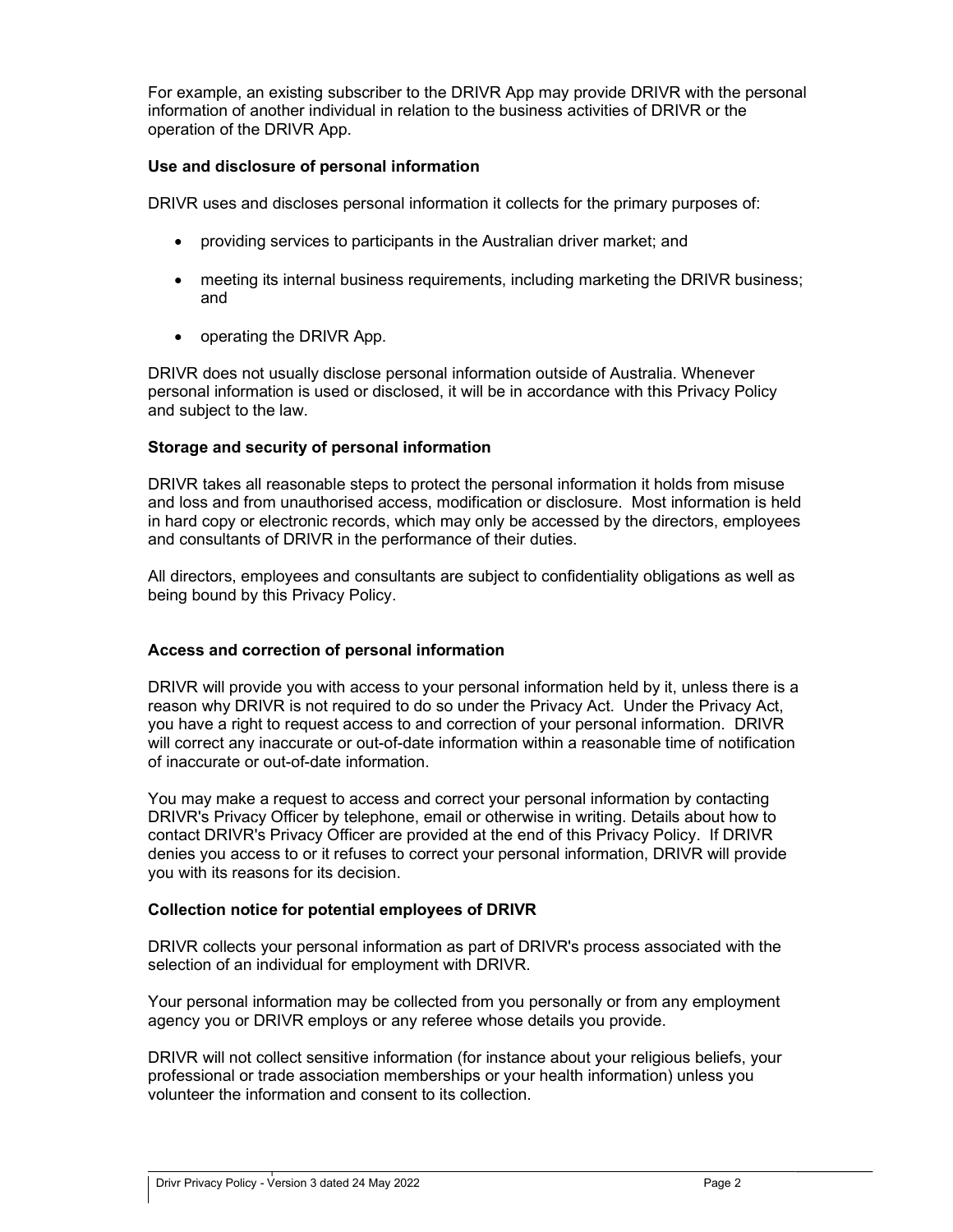For example, an existing subscriber to the DRIVR App may provide DRIVR with the personal information of another individual in relation to the business activities of DRIVR or the operation of the DRIVR App.

## Use and disclosure of personal information

DRIVR uses and discloses personal information it collects for the primary purposes of:

- providing services to participants in the Australian driver market; and
- meeting its internal business requirements, including marketing the DRIVR business; and
- operating the DRIVR App.

DRIVR does not usually disclose personal information outside of Australia. Whenever personal information is used or disclosed, it will be in accordance with this Privacy Policy and subject to the law.

# Storage and security of personal information

DRIVR takes all reasonable steps to protect the personal information it holds from misuse and loss and from unauthorised access, modification or disclosure. Most information is held in hard copy or electronic records, which may only be accessed by the directors, employees and consultants of DRIVR in the performance of their duties.

All directors, employees and consultants are subject to confidentiality obligations as well as being bound by this Privacy Policy.

# Access and correction of personal information

DRIVR will provide you with access to your personal information held by it, unless there is a reason why DRIVR is not required to do so under the Privacy Act. Under the Privacy Act, you have a right to request access to and correction of your personal information. DRIVR will correct any inaccurate or out-of-date information within a reasonable time of notification of inaccurate or out-of-date information.

You may make a request to access and correct your personal information by contacting DRIVR's Privacy Officer by telephone, email or otherwise in writing. Details about how to contact DRIVR's Privacy Officer are provided at the end of this Privacy Policy. If DRIVR denies you access to or it refuses to correct your personal information, DRIVR will provide you with its reasons for its decision.

### Collection notice for potential employees of DRIVR

DRIVR collects your personal information as part of DRIVR's process associated with the selection of an individual for employment with DRIVR.

Your personal information may be collected from you personally or from any employment agency you or DRIVR employs or any referee whose details you provide.

DRIVR will not collect sensitive information (for instance about your religious beliefs, your professional or trade association memberships or your health information) unless you volunteer the information and consent to its collection.